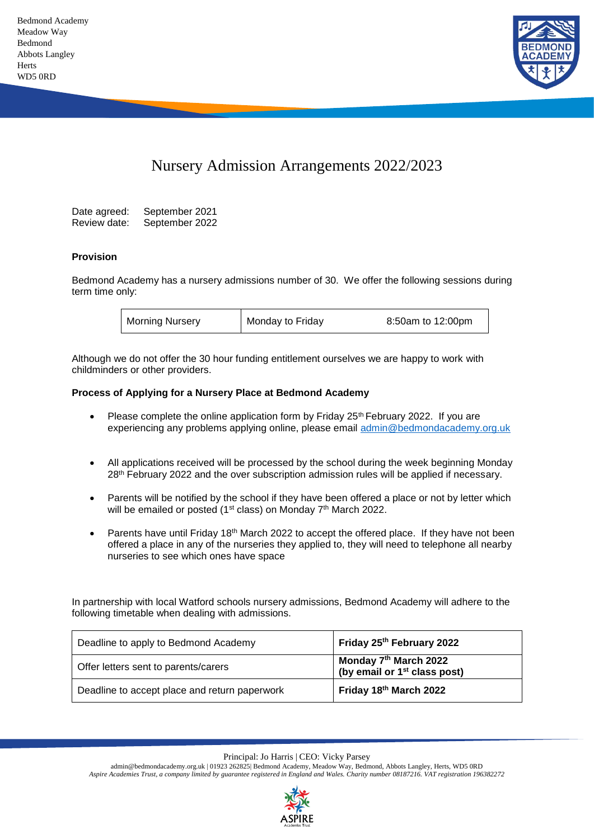

# Nursery Admission Arrangements 2022/2023

Date agreed: September 2021 Review date: September 2022

### **Provision**

Bedmond Academy has a nursery admissions number of 30. We offer the following sessions during term time only:

| <b>Morning Nursery</b> | Monday to Friday | 8:50am to 12:00pm |
|------------------------|------------------|-------------------|
|                        |                  |                   |

Although we do not offer the 30 hour funding entitlement ourselves we are happy to work with childminders or other providers.

### **Process of Applying for a Nursery Place at Bedmond Academy**

- Please complete the online application form by Friday  $25<sup>th</sup>$  February 2022. If you are experiencing any problems applying online, please email [admin@bedmondacademy.org.uk](mailto:admin@bedmondacademy.org.uk)
- All applications received will be processed by the school during the week beginning Monday 28th February 2022 and the over subscription admission rules will be applied if necessary.
- Parents will be notified by the school if they have been offered a place or not by letter which will be emailed or posted (1<sup>st</sup> class) on Monday 7<sup>th</sup> March 2022.
- Parents have until Friday 18<sup>th</sup> March 2022 to accept the offered place. If they have not been offered a place in any of the nurseries they applied to, they will need to telephone all nearby nurseries to see which ones have space

In partnership with local Watford schools nursery admissions, Bedmond Academy will adhere to the following timetable when dealing with admissions.

| Deadline to apply to Bedmond Academy          | Friday 25 <sup>th</sup> February 2022                                         |
|-----------------------------------------------|-------------------------------------------------------------------------------|
| Offer letters sent to parents/carers          | Monday 7 <sup>th</sup> March 2022<br>(by email or 1 <sup>st</sup> class post) |
| Deadline to accept place and return paperwork | Friday 18th March 2022                                                        |

Principal: Jo Harris | CEO: Vicky Parsey

admin@bedmondacademy.org.uk | 01923 262825| Bedmond Academy, Meadow Way, Bedmond, Abbots Langley, Herts, WD5 0RD *Aspire Academies Trust, a company limited by guarantee registered in England and Wales. Charity number 08187216. VAT registration 196382272*

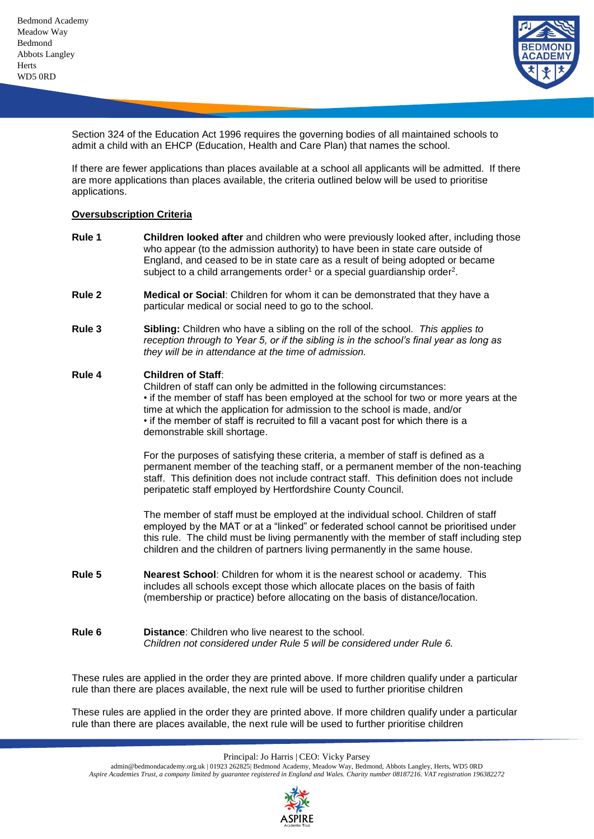

Section 324 of the Education Act 1996 requires the governing bodies of all maintained schools to admit a child with an EHCP (Education, Health and Care Plan) that names the school.

If there are fewer applications than places available at a school all applicants will be admitted. If there are more applications than places available, the criteria outlined below will be used to prioritise applications.

## **Oversubscription Criteria**

- **Rule 1 Children looked after** and children who were previously looked after, including those who appear (to the admission authority) to have been in state care outside of England, and ceased to be in state care as a result of being adopted or became subject to a child arrangements order<sup>1</sup> or a special guardianship order<sup>2</sup>.
- **Rule 2 Medical or Social**: Children for whom it can be demonstrated that they have a particular medical or social need to go to the school.
- **Rule 3 Sibling:** Children who have a sibling on the roll of the school. *This applies to reception through to Year 5, or if the sibling is in the school's final year as long as they will be in attendance at the time of admission.*

### **Rule 4 Children of Staff**:

Children of staff can only be admitted in the following circumstances: • if the member of staff has been employed at the school for two or more years at the time at which the application for admission to the school is made, and/or • if the member of staff is recruited to fill a vacant post for which there is a demonstrable skill shortage.

For the purposes of satisfying these criteria, a member of staff is defined as a permanent member of the teaching staff, or a permanent member of the non-teaching staff. This definition does not include contract staff. This definition does not include peripatetic staff employed by Hertfordshire County Council.

The member of staff must be employed at the individual school. Children of staff employed by the MAT or at a "linked" or federated school cannot be prioritised under this rule. The child must be living permanently with the member of staff including step children and the children of partners living permanently in the same house.

- **Rule 5 Nearest School**: Children for whom it is the nearest school or academy. This includes all schools except those which allocate places on the basis of faith (membership or practice) before allocating on the basis of distance/location.
- **Rule 6 Distance**: Children who live nearest to the school. *Children not considered under Rule 5 will be considered under Rule 6.*

These rules are applied in the order they are printed above. If more children qualify under a particular rule than there are places available, the next rule will be used to further prioritise children

These rules are applied in the order they are printed above. If more children qualify under a particular rule than there are places available, the next rule will be used to further prioritise children

Principal: Jo Harris | CEO: Vicky Parsey

admin@bedmondacademy.org.uk | 01923 262825| Bedmond Academy, Meadow Way, Bedmond, Abbots Langley, Herts, WD5 0RD *Aspire Academies Trust, a company limited by guarantee registered in England and Wales. Charity number 08187216. VAT registration 196382272*

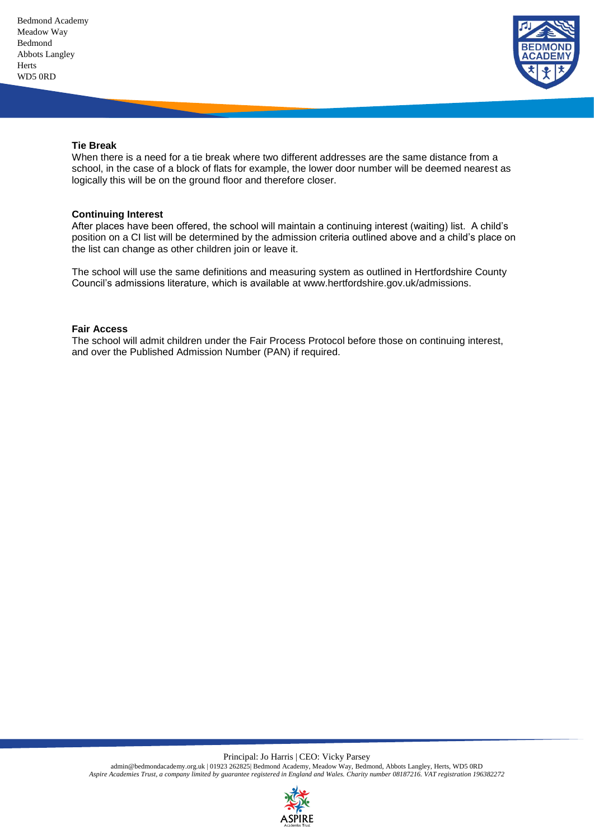

### **Tie Break**

When there is a need for a tie break where two different addresses are the same distance from a school, in the case of a block of flats for example, the lower door number will be deemed nearest as logically this will be on the ground floor and therefore closer.

#### **Continuing Interest**

After places have been offered, the school will maintain a continuing interest (waiting) list. A child's position on a CI list will be determined by the admission criteria outlined above and a child's place on the list can change as other children join or leave it.

The school will use the same definitions and measuring system as outlined in Hertfordshire County Council's admissions literature, which is available at www.hertfordshire.gov.uk/admissions.

#### **Fair Access**

The school will admit children under the Fair Process Protocol before those on continuing interest, and over the Published Admission Number (PAN) if required.

Principal: Jo Harris | CEO: Vicky Parsey

admin@bedmondacademy.org.uk | 01923 262825| Bedmond Academy, Meadow Way, Bedmond, Abbots Langley, Herts, WD5 0RD *Aspire Academies Trust, a company limited by guarantee registered in England and Wales. Charity number 08187216. VAT registration 196382272*